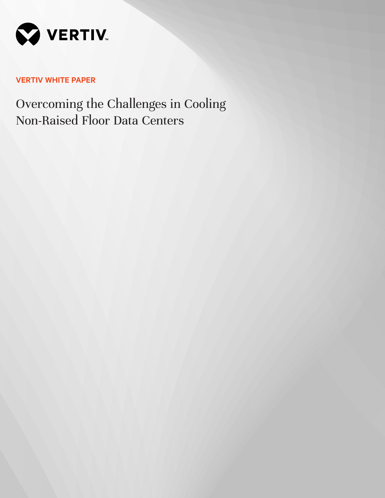

# **VERTIV WHITE PAPER**

Overcoming the Challenges in Cooling Non-Raised Floor Data Centers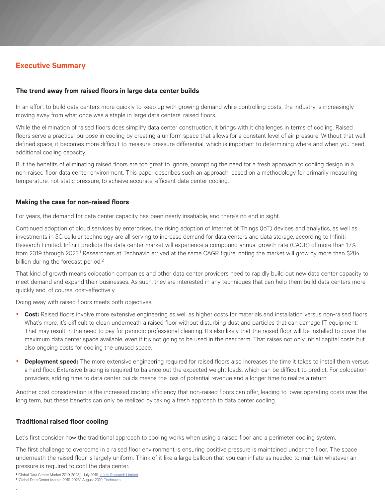# **Executive Summary**

## **The trend away from raised floors in large data center builds**

In an effort to build data centers more quickly to keep up with growing demand while controlling costs, the industry is increasingly moving away from what once was a staple in large data centers: raised floors.

While the elimination of raised floors does simplify data center construction, it brings with it challenges in terms of cooling. Raised floors serve a practical purpose in cooling by creating a uniform space that allows for a constant level of air pressure. Without that welldefined space, it becomes more difficult to measure pressure differential, which is important to determining where and when you need additional cooling capacity.

But the benefits of eliminating raised floors are too great to ignore, prompting the need for a fresh approach to cooling design in a non-raised floor data center environment. This paper describes such an approach, based on a methodology for primarily measuring temperature, not static pressure, to achieve accurate, efficient data center cooling.

### **Making the case for non-raised floors**

For years, the demand for data center capacity has been nearly insatiable, and there's no end in sight.

Continued adoption of cloud services by enterprises, the rising adoption of Internet of Things (IoT) devices and analytics, as well as investments in 5G cellular technology are all serving to increase demand for data centers and data storage, according to Infiniti Research Limited. Infiniti predicts the data center market will experience a compound annual growth rate (CAGR) of more than 17% from 2019 through 2023.<sup>1</sup> Researchers at Technavio arrived at the same CAGR figure, noting the market will grow by more than \$284 billion during the forecast period.<sup>2</sup>

That kind of growth means colocation companies and other data center providers need to rapidly build out new data center capacity to meet demand and expand their businesses. As such, they are interested in any techniques that can help them build data centers more quickly and, of course, cost-effectively.

Doing away with raised floors meets both objectives.

- **Cost:** Raised floors involve more extensive engineering as well as higher costs for materials and installation versus non-raised floors. What's more, it's difficult to clean underneath a raised floor without disturbing dust and particles that can damage IT equipment. That may result in the need to pay for periodic professional cleaning. It's also likely that the raised floor will be installed to cover the maximum data center space available, even if it's not going to be used in the near term. That raises not only initial capital costs but also ongoing costs for cooling the unused space.
- **Deployment speed:** The more extensive engineering required for raised floors also increases the time it takes to install them versus a hard floor. Extensive bracing is required to balance out the expected weight loads, which can be difficult to predict. For colocation providers, adding time to data center builds means the loss of potential revenue and a longer time to realize a return.

Another cost consideration is the increased cooling efficiency that non-raised floors can offer, leading to lower operating costs over the long term, but these benefits can only be realized by taking a fresh approach to data center cooling.

# **Traditional raised floor cooling**

Let's first consider how the traditional approach to cooling works when using a raised floor and a perimeter cooling system.

The first challenge to overcome in a raised floor environment is ensuring positive pressure is maintained under the floor. The space underneath the raised floor is largely uniform. Think of it like a large balloon that you can inflate as needed to maintain whatever air pressure is required to cool the data center.

**<sup>1</sup>**"Global Data Center Market 2019-2023," July 2019, [Infiniti Research Limited](https://www.reportlinker.com/p04340873/Global-Data-Center-Microserver-Market.html?utm_source=GNW) **2** "Global Data Center Market 2019-2023," August 2019, [Technavio](https://www.businesswire.com/news/home/20190823005139/en/ )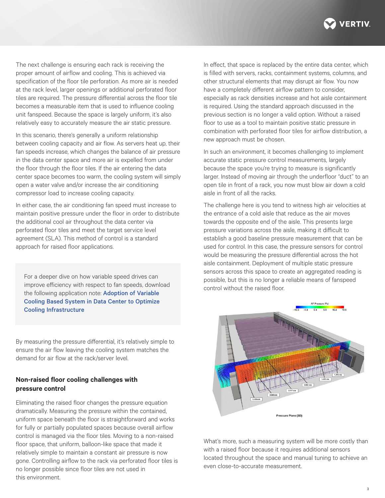

The next challenge is ensuring each rack is receiving the proper amount of airflow and cooling. This is achieved via specification of the floor tile perforation. As more air is needed at the rack level, larger openings or additional perforated floor tiles are required. The pressure differential across the floor tile becomes a measurable item that is used to influence cooling unit fanspeed. Because the space is largely uniform, it's also relatively easy to accurately measure the air static pressure.

In this scenario, there's generally a uniform relationship between cooling capacity and air flow. As servers heat up, their fan speeds increase, which changes the balance of air pressure in the data center space and more air is expelled from under the floor through the floor tiles. If the air entering the data center space becomes too warm, the cooling system will simply open a water valve and/or increase the air conditioning compressor load to increase cooling capacity.

In either case, the air conditioning fan speed must increase to maintain positive pressure under the floor in order to distribute the additional cool air throughout the data center via perforated floor tiles and meet the target service level agreement (SLA). This method of control is a standard approach for raised floor applications.

For a deeper dive on how variable speed drives can improve efficiency with respect to fan speeds, download the following application note: Adoption of Variable [Cooling Based System in Data Center to Optimize](https://www.vertiv.com/contentassets/b843e797abff4f93b4d217cb29a84cfc)  [Cooling Infrastructure](https://www.vertiv.com/contentassets/b843e797abff4f93b4d217cb29a84cfc)

By measuring the pressure differential, it's relatively simple to ensure the air flow leaving the cooling system matches the demand for air flow at the rack/server level.

# **Non-raised floor cooling challenges with pressure control**

Eliminating the raised floor changes the pressure equation dramatically. Measuring the pressure within the contained, uniform space beneath the floor is straightforward and works for fully or partially populated spaces because overall airflow control is managed via the floor tiles. Moving to a non-raised floor space, that uniform, balloon-like space that made it relatively simple to maintain a constant air pressure is now gone. Controlling airflow to the rack via perforated floor tiles is no longer possible since floor tiles are not used in this environment.

In effect, that space is replaced by the entire data center, which is filled with servers, racks, containment systems, columns, and other structural elements that may disrupt air flow. You now have a completely different airflow pattern to consider, especially as rack densities increase and hot aisle containment is required. Using the standard approach discussed in the previous section is no longer a valid option. Without a raised floor to use as a tool to maintain positive static pressure in combination with perforated floor tiles for airflow distribution, a new approach must be chosen.

In such an environment, it becomes challenging to implement accurate static pressure control measurements, largely because the space you're trying to measure is significantly larger. Instead of moving air through the underfloor "duct" to an open tile in front of a rack, you now must blow air down a cold aisle in front of all the racks.

The challenge here is you tend to witness high air velocities at the entrance of a cold aisle that reduce as the air moves towards the opposite end of the aisle. This presents large pressure variations across the aisle, making it difficult to establish a good baseline pressure measurement that can be used for control. In this case, the pressure sensors for control would be measuring the pressure differential across the hot aisle containment. Deployment of multiple static pressure sensors across this space to create an aggregated reading is possible, but this is no longer a reliable means of fanspeed control without the raised floor.



What's more, such a measuring system will be more costly than with a raised floor because it requires additional sensors located throughout the space and manual tuning to achieve an even close-to-accurate measurement.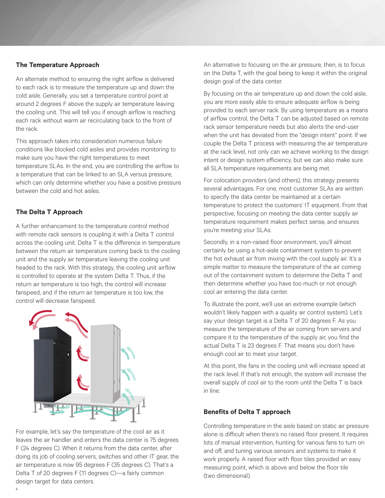#### **The Temperature Approach**

An alternate method to ensuring the right airflow is delivered to each rack is to measure the temperature up and down the cold aisle. Generally, you set a temperature control point at around 2 degrees F above the supply air temperature leaving the cooling unit. This will tell you if enough airflow is reaching each rack without warm air recirculating back to the front of the rack.

This approach takes into consideration numerous failure conditions like blocked cold aisles and provides monitoring to make sure you have the right temperatures to meet temperature SLAs. In the end, you are controlling the airflow to a temperature that can be linked to an SLA versus pressure, which can only determine whether you have a positive pressure between the cold and hot aisles.

# **The Delta T Approach**

A further enhancement to the temperature control method with remote rack sensors is coupling it with a Delta T control across the cooling unit. Delta T is the difference in temperature between the return air temperature coming back to the cooling unit and the supply air temperature leaving the cooling unit headed to the rack. With this strategy, the cooling unit airflow is controlled to operate at the system Delta T. Thus, if the return air temperature is too high, the control will increase fanspeed, and if the return air temperature is too low, the control will decrease fanspeed.



For example, let's say the temperature of the cool air as it leaves the air handler and enters the data center is 75 degrees F (24 degrees C). When it returns from the data center, after doing its job of cooling servers, switches and other IT gear, the air temperature is now 95 degrees F (35 degrees C). That's a Delta T of 20 degrees F (11 degrees C)—a fairly common design target for data centers.

An alternative to focusing on the air pressure, then, is to focus on the Delta T, with the goal being to keep it within the original design goal of the data center.

By focusing on the air temperature up and down the cold aisle, you are more easily able to ensure adequate airflow is being provided to each server rack. By using temperature as a means of airflow control, the Delta T can be adjusted based on remote rack sensor temperature needs but also alerts the end-user when the unit has deviated from the "design intent" point. If we couple the Delta T process with measuring the air temperature at the rack level, not only can we achieve working to the design intent or design system efficiency, but we can also make sure all SLA temperature requirements are being met.

For colocation providers (and others), this strategy presents several advantages. For one, most customer SLAs are written to specify the data center be maintained at a certain temperature to protect the customers' IT equipment. From that perspective, focusing on meeting the data center supply air temperature requirement makes perfect sense, and ensures you're meeting your SLAs.

Secondly, in a non-raised floor environment, you'll almost certainly be using a hot-aisle containment system to prevent the hot exhaust air from mixing with the cool supply air. It's a simple matter to measure the temperature of the air coming out of the containment system to determine the Delta T and then determine whether you have too much or not enough cool air entering the data center.

To illustrate the point, we'll use an extreme example (which wouldn't likely happen with a quality air control system). Let's say your design target is a Delta T of 20 degrees F. As you measure the temperature of the air coming from servers and compare it to the temperature of the supply air, you find the actual Delta T is 23 degrees F. That means you don't have enough cool air to meet your target.

At this point, the fans in the cooling unit will increase speed at the rack level. If that's not enough, the system will increase the overall supply of cool air to the room until the Delta T is back in line.

#### **Benefits of Delta T approach**

Controlling temperature in the aisle based on static air pressure alone is difficult when there's no raised floor present. It requires lots of manual intervention, hunting for various fans to turn on and off, and tuning various sensors and systems to make it work properly. A raised floor with floor tiles provided an easy measuring point, which is above and below the floor tile (two dimensional).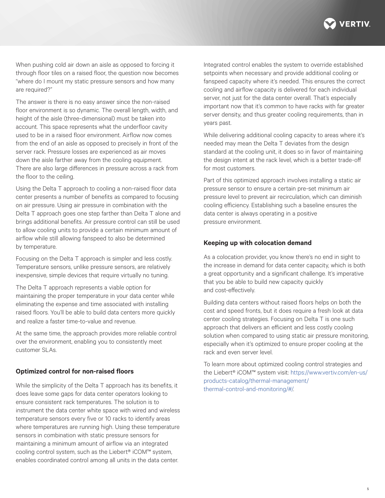

When pushing cold air down an aisle as opposed to forcing it through floor tiles on a raised floor, the question now becomes "where do I mount my static pressure sensors and how many are required?"

The answer is there is no easy answer since the non-raised floor environment is so dynamic. The overall length, width, and height of the aisle (three-dimensional) must be taken into account. This space represents what the underfloor cavity used to be in a raised floor environment. Airflow now comes from the end of an aisle as opposed to precisely in front of the server rack. Pressure losses are experienced as air moves down the aisle farther away from the cooling equipment. There are also large differences in pressure across a rack from the floor to the ceiling.

Using the Delta T approach to cooling a non-raised floor data center presents a number of benefits as compared to focusing on air pressure. Using air pressure in combination with the Delta T approach goes one step farther than Delta T alone and brings additional benefits. Air pressure control can still be used to allow cooling units to provide a certain minimum amount of airflow while still allowing fanspeed to also be determined by temperature.

Focusing on the Delta T approach is simpler and less costly. Temperature sensors, unlike pressure sensors, are relatively inexpensive, simple devices that require virtually no tuning.

The Delta T approach represents a viable option for maintaining the proper temperature in your data center while eliminating the expense and time associated with installing raised floors. You'll be able to build data centers more quickly and realize a faster time-to-value and revenue.

At the same time, the approach provides more reliable control over the environment, enabling you to consistently meet customer SLAs.

#### **Optimized control for non-raised floors**

While the simplicity of the Delta T approach has its benefits, it does leave some gaps for data center operators looking to ensure consistent rack temperatures. The solution is to instrument the data center white space with wired and wireless temperature sensors every five or 10 racks to identify areas where temperatures are running high. Using these temperature sensors in combination with static pressure sensors for maintaining a minimum amount of airflow via an integrated cooling control system, such as the Liebert® iCOM™ system, enables coordinated control among all units in the data center.

Integrated control enables the system to override established setpoints when necessary and provide additional cooling or fanspeed capacity where it's needed. This ensures the correct cooling and airflow capacity is delivered for each individual server, not just for the data center overall. That's especially important now that it's common to have racks with far greater server density, and thus greater cooling requirements, than in years past.

While delivering additional cooling capacity to areas where it's needed may mean the Delta T deviates from the design standard at the cooling unit, it does so in favor of maintaining the design intent at the rack level, which is a better trade-off for most customers.

Part of this optimized approach involves installing a static air pressure sensor to ensure a certain pre-set minimum air pressure level to prevent air recirculation, which can diminish cooling efficiency. Establishing such a baseline ensures the data center is always operating in a positive pressure environment.

#### **Keeping up with colocation demand**

As a colocation provider, you know there's no end in sight to the increase in demand for data center capacity, which is both a great opportunity and a significant challenge. It's imperative that you be able to build new capacity quickly and cost-effectively.

Building data centers without raised floors helps on both the cost and speed fronts, but it does require a fresh look at data center cooling strategies. Focusing on Delta T is one such approach that delivers an efficient and less costly cooling solution when compared to using static air pressure monitoring, especially when it's optimized to ensure proper cooling at the rack and even server level.

To learn more about optimized cooling control strategies and the Liebert® iCOM™ system visit: [https://www.vertiv.com/en-us/](https://www.vertiv.com/en-us/products-catalog/thermal-management/thermal-control-and-monitoring/#/) [products-catalog/thermal-management/](https://www.vertiv.com/en-us/products-catalog/thermal-management/thermal-control-and-monitoring/#/) [thermal-control-and-monitoring/#/](https://www.vertiv.com/en-us/products-catalog/thermal-management/thermal-control-and-monitoring/#/).